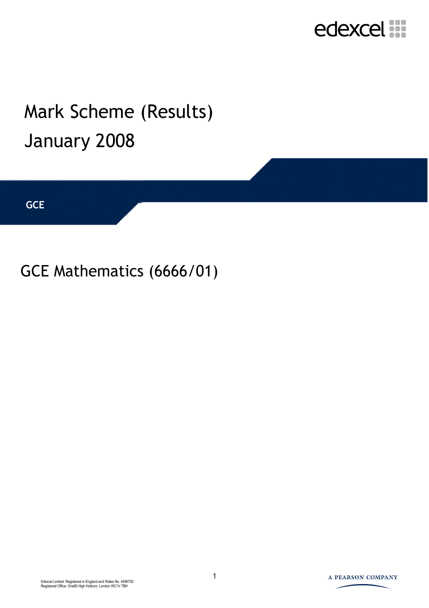

## Mark Scheme (Results) January 2008

**GCE** 

#### GCE Mathematics (6666/01)

1 Edexcel Limited. Registered in England and Wales No. 4496750 Registered Office: One90 High Holborn, London WC1V 7BH

#### A PEARSON COMPANY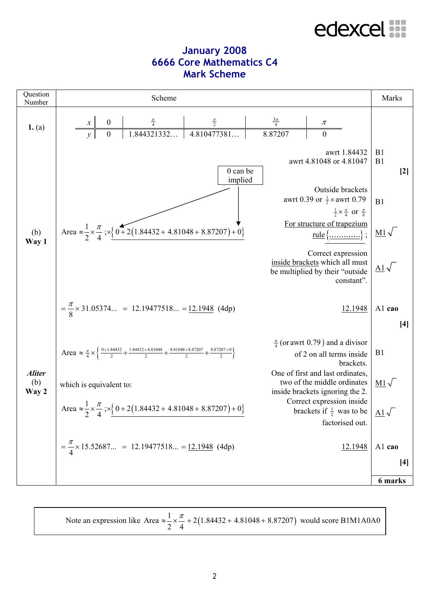#### **January 2008 6666 Core Mathematics C4 Mark Scheme**

| Question<br>Number | Scheme                                                                                                                                                       |                                       |                                                                                                                                                                                                                                                                                                                                                     | Marks                                                                                |
|--------------------|--------------------------------------------------------------------------------------------------------------------------------------------------------------|---------------------------------------|-----------------------------------------------------------------------------------------------------------------------------------------------------------------------------------------------------------------------------------------------------------------------------------------------------------------------------------------------------|--------------------------------------------------------------------------------------|
| 1. $(a)$           | $\boldsymbol{0}$<br>$\begin{array}{c c}\n\frac{\pi}{4} & \frac{\pi}{2} \\ \hline\n1.844321332 & 4.810477381 \n\end{array}$<br>$\overline{0}$                 | $\frac{\frac{3\pi}{4}}{7}$<br>8.87207 | $\pi$<br>$\overline{0}$                                                                                                                                                                                                                                                                                                                             |                                                                                      |
| (b)<br>Way 1       | $0$ can be<br>implied<br>Area $\approx \frac{1}{2} \times \frac{\pi}{4}$ ; $\times \left\{ 0 + 2(1.84432 + 4.81048 + 8.87207) + 0 \right\}$                  |                                       | awrt 1.84432<br>awrt 4.81048 or 4.81047<br>Outside brackets<br>awrt 0.39 or $\frac{1}{2} \times$ awrt 0.79<br>$\frac{1}{2} \times \frac{\pi}{4}$ or $\frac{\pi}{8}$<br>For structure of trapezium<br>$rule \{\underline{\hspace{1cm}}\}$ :<br>Correct expression<br>inside brackets which all must<br>be multiplied by their "outside<br>constant". | B1<br>B1<br>$[2]$<br>B1<br>$\underline{\text{M1}}\sqrt{}$<br>$\underline{A1}\sqrt{}$ |
|                    | $=\frac{\pi}{8}\times 31.05374 = 12.19477518 = 12.1948$ (4dp)                                                                                                |                                       | 12.1948                                                                                                                                                                                                                                                                                                                                             | Al cao<br>$[4]$                                                                      |
| <b>Aliter</b>      | Area $\approx \frac{\pi}{4} \times \left\{ \frac{0+1.84432}{2} + \frac{1.84432 + 4.81048}{2} + \frac{4.81048 + 8.87207}{2} + \frac{8.87207 + 0}{2} \right\}$ |                                       | $\frac{\pi}{4}$ (or awrt 0.79) and a divisor<br>of 2 on all terms inside<br>brackets.<br>One of first and last ordinates,                                                                                                                                                                                                                           | B1                                                                                   |
| (b)<br>Way 2       | which is equivalent to:<br>Area $\approx \frac{1}{2} \times \frac{\pi}{4}$ ; $\times \left\{ 0 + 2(1.84432 + 4.81048 + 8.87207) + 0 \right\}$<br>2 4 $\sim$  |                                       | two of the middle ordinates<br>inside brackets ignoring the 2.<br>Correct expression inside<br>brackets if $\frac{1}{2}$ was to be $\underline{A1}\sqrt{ }$<br>factorised out.                                                                                                                                                                      | $\underline{\mathrm{M1}}\sqrt{}$                                                     |
|                    | $=\frac{\pi}{4} \times 15.52687 = 12.19477518 = 12.1948$ (4dp)                                                                                               |                                       | 12.1948                                                                                                                                                                                                                                                                                                                                             | Al cao<br>$[4]$                                                                      |
|                    |                                                                                                                                                              |                                       |                                                                                                                                                                                                                                                                                                                                                     | 6 marks                                                                              |

Note an expression like Area  $\approx \frac{1}{2} \times \frac{\pi}{4} + 2(1.84432 + 4.81048 + 8.87207)$ 2 4  $\approx \frac{1}{2} \times \frac{\pi}{4} + 2(1.84432 + 4.81048 + 8.87207)$  would score B1M1A0A0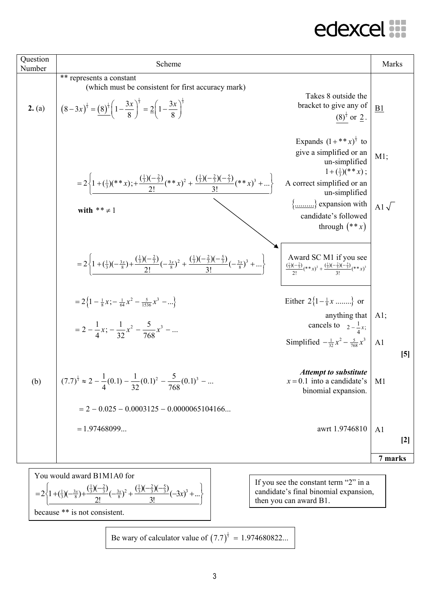| Question<br>Number | Scheme                                                                                                                                                                                                                                                                                    |                                                                                                                                                                                                                                             | Marks                              |
|--------------------|-------------------------------------------------------------------------------------------------------------------------------------------------------------------------------------------------------------------------------------------------------------------------------------------|---------------------------------------------------------------------------------------------------------------------------------------------------------------------------------------------------------------------------------------------|------------------------------------|
| 2. (a)             | ** represents a constant<br>(which must be consistent for first accuracy mark)<br>$\left[ (8-3x)^{\frac{1}{3}} = \frac{(8)^{\frac{1}{3}}}{1-\frac{3x}{8}} \right]^{\frac{1}{3}} = 2\left(1-\frac{3x}{8}\right)^{\frac{1}{3}}$                                                             | Takes 8 outside the<br>bracket to give any of<br>$(8)^{\frac{1}{3}}$ or $2$ .                                                                                                                                                               | B1                                 |
|                    | $=2\left\{1+(\frac{1}{3})(**x)+\frac{(\frac{1}{3})(-\frac{2}{3})}{2!}(**x)^2+\frac{(\frac{1}{3})(-\frac{2}{3})(-\frac{5}{3})}{3!}(**x)^3+\dots\right\}$<br>with $** \neq 1$                                                                                                               | Expands $(1 + **x)^{\frac{1}{3}}$ to<br>give a simplified or an<br>un-simplified<br>$1+(\frac{1}{2})(**x)$ ;<br>A correct simplified or an<br>un-simplified<br>$\{\dots \dots \}$ expansion with<br>candidate's followed<br>through $(**x)$ | $M1$ ;<br>Al $\sqrt{ }$            |
|                    | $=2\left\{1+\left(\frac{1}{3}\right)\left(-\frac{3x}{8}\right)+\frac{\left(\frac{1}{3}\right)\left(-\frac{2}{3}\right)}{2!}\left(-\frac{3x}{8}\right)^2+\frac{\left(\frac{1}{3}\right)\left(-\frac{2}{3}\right)\left(-\frac{5}{3}\right)}{3!}\left(-\frac{3x}{8}\right)^3+\ldots\right\}$ | Award SC M1 if you see<br>$\frac{\left(\frac{1}{3}\right)\left(-\frac{2}{3}\right)}{2!}(**x)^2 + \frac{\left(\frac{1}{3}\right)\left(-\frac{2}{3}\right)\left(-\frac{5}{3}\right)}{2!}(**x)^3$                                              |                                    |
|                    | $=2\left\{1-\frac{1}{8}x;-\frac{1}{64}x^2-\frac{5}{1536}x^3-\right\}$<br>$=2-\frac{1}{4}x$ ; $-\frac{1}{32}x^2-\frac{5}{768}x^3-$                                                                                                                                                         | Either $2\{1-\frac{1}{8}x$ } or<br>anything that $ $ A1;<br>cancels to $2-\frac{1}{4}x$ ;<br>Simplified $-\frac{1}{32}x^2 - \frac{5}{768}x^3$                                                                                               | A <sub>1</sub><br>$\left[5\right]$ |
| (b)                | $(7.7)^{\frac{1}{3}} \approx 2 - \frac{1}{4}(0.1) - \frac{1}{32}(0.1)^2 - \frac{5}{768}(0.1)^3 - $<br>$= 2 - 0.025 - 0.0003125 - 0.0000065104166$                                                                                                                                         | <b>Attempt to substitute</b><br>$x = 0.1$ into a candidate's<br>binomial expansion.                                                                                                                                                         | M <sub>1</sub>                     |
|                    | $= 1.97468099$                                                                                                                                                                                                                                                                            | awrt 1.9746810                                                                                                                                                                                                                              | A <sub>1</sub><br>$[2]$            |
|                    |                                                                                                                                                                                                                                                                                           |                                                                                                                                                                                                                                             | 7 marks                            |

You would award B1M1A0 for  
\n
$$
=2\left\{1+(\frac{1}{3})(-\frac{3x}{8})+\frac{(\frac{1}{3})(-\frac{2}{3})}{2!}(-\frac{3x}{8})^2+\frac{(\frac{1}{3})(-\frac{2}{3})(-\frac{5}{3})}{3!}(-3x)^3+...\right\}
$$
\nbecause \*\* is not consistent.

If you see the constant term "2" in a candidate's final binomial expansion, then you can award B1.

Be wary of calculator value of 
$$
(7.7)^{\frac{1}{3}} = 1.974680822...
$$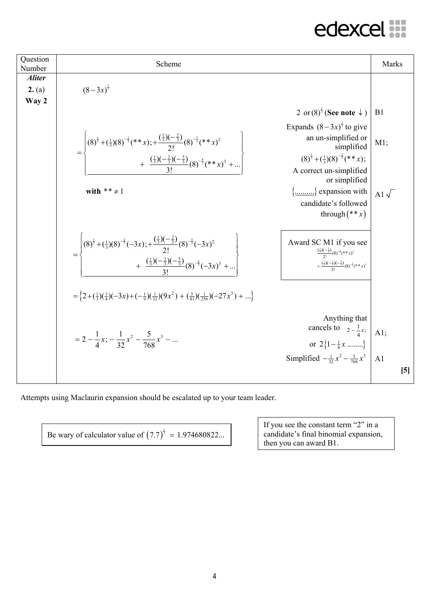| Question<br>Number               | Scheme                                                                                                                                                                                                                                                                                                                                                                                                                             |                                                                                                                                                                                                                                                                                                                           | Marks                                     |
|----------------------------------|------------------------------------------------------------------------------------------------------------------------------------------------------------------------------------------------------------------------------------------------------------------------------------------------------------------------------------------------------------------------------------------------------------------------------------|---------------------------------------------------------------------------------------------------------------------------------------------------------------------------------------------------------------------------------------------------------------------------------------------------------------------------|-------------------------------------------|
| <b>Aliter</b><br>2. (a)<br>Way 2 | $(8-3x)^{\frac{1}{3}}$                                                                                                                                                                                                                                                                                                                                                                                                             |                                                                                                                                                                                                                                                                                                                           |                                           |
|                                  | $= \begin{cases} (8)^{\frac{1}{3}} + (\frac{1}{3})(8)^{-\frac{2}{3}}(**x); + \frac{(\frac{1}{3})(-\frac{2}{3})}{2!}(8)^{-\frac{5}{3}}(**x)^{2} \\ + \frac{(\frac{1}{3})(-\frac{2}{3})(-\frac{5}{3})}{2!}(8)^{-\frac{8}{3}}(**x)^{3} +  \end{cases}$<br>with $** \neq 1$                                                                                                                                                            | 2 or $(8)^{\frac{1}{3}}$ (See note $\downarrow$ )<br>Expands $(8-3x)^{\frac{1}{3}}$ to give<br>an un-simplified or<br>simplified<br>$(8)^{\frac{1}{3}}+(\frac{1}{3})(8)^{-\frac{2}{3}}(**x);$<br>A correct un-simplified<br>or simplified<br>$\{\dots \dots \}$ expansion with<br>candidate's followed<br>through $(**x)$ | B <sub>1</sub><br>$M1$ ;<br>Al $\sqrt{ }$ |
|                                  | $=\left\{\n\begin{array}{c}\n(8)^{\frac{1}{3}} + (\frac{1}{3})(8)^{-\frac{2}{3}}(-3x); + \frac{\left(\frac{1}{3}\right)(-\frac{2}{3})}{2!}(8)^{-\frac{5}{3}}(-3x)^2 \\ + \frac{\left(\frac{1}{3}\right)(-\frac{2}{3})(-\frac{5}{3})}{3!}(8)^{-\frac{8}{3}}(-3x)^3 + \dots\n\end{array}\n\right\}$<br>$=\left\{2+(\frac{1}{3})(\frac{1}{4})(-3x)+(-\frac{1}{9})(\frac{1}{32})(9x^2)+(\frac{5}{81})(\frac{1}{256})(-27x^3)+\right\}$ | Award SC M1 if you see<br>$\frac{\left(\frac{1}{3}\right)\left(-\frac{2}{3}\right)}{2!}$ $\left(\frac{8}{3}\right)^{-\frac{5}{3}}$ $\left(**x\right)^2$<br>$+\frac{\left(\frac{1}{3}\right)\left(-\frac{2}{3}\right)\left(-\frac{5}{3}\right)}{3!}(8)^{-\frac{8}{3}}(**x)^{3}$                                            |                                           |
|                                  | $=2-\frac{1}{4}x; -\frac{1}{32}x^2-\frac{5}{768}x^3-$                                                                                                                                                                                                                                                                                                                                                                              | Anything that<br>cancels to $2 - \frac{1}{4}x$ ;<br>or $2\left\{1-\frac{1}{8}x$ }<br>Simplified $-\frac{1}{32}x^2 - \frac{5}{768}x^3$                                                                                                                                                                                     | A1;<br>A <sub>1</sub><br>$\left[5\right]$ |

Attempts using Maclaurin expansion should be escalated up to your team leader.

Be wary of calculator value of  $(7.7)^{\frac{1}{3}} = 1.974680822...$ 

If you see the constant term "2" in a candidate's final binomial expansion, then you can award B1.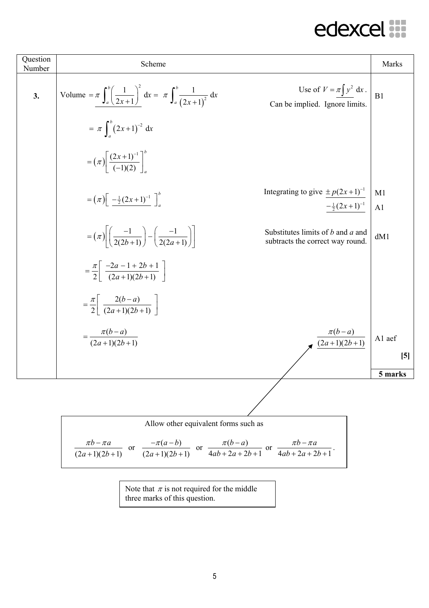| Question<br>Number | Scheme                                                                                                                                                                      | Marks                |
|--------------------|-----------------------------------------------------------------------------------------------------------------------------------------------------------------------------|----------------------|
| 3.                 | Use of $V = \pi \int y^2 dx$ .<br>Volume = $\pi \int_{a}^{b} \left( \frac{1}{2x+1} \right)^2 dx = \pi \int_{a}^{b} \frac{1}{(2x+1)^2} dx$<br>Can be implied. Ignore limits. | B1                   |
|                    | $= \pi \int_{0}^{b} (2x+1)^{-2} dx$                                                                                                                                         |                      |
|                    | $=(\pi)\left[\frac{(2x+1)^{-1}}{(-1)(2)}\right]^{b}$                                                                                                                        |                      |
|                    | Integrating to give $\pm p(2x+1)^{-1}$<br>$=\left(\pi\right)\left[\frac{-\frac{1}{2}(2x+1)^{-1}}{\frac{1}{2}(2x+1)^{-1}}\right]_{a}^{b}$<br>$-\frac{1}{2}(2x+1)^{-1}$       | M1<br>A <sub>1</sub> |
|                    | $= (\pi) \left  \left( \frac{-1}{2(2b+1)} \right) - \left( \frac{-1}{2(2a+1)} \right) \right $<br>Substitutes limits of b and a and<br>subtracts the correct way round.     | dM1                  |
|                    | $=\frac{\pi}{2} \left  \frac{-2a-1+2b+1}{(2a+1)(2b+1)} \right $                                                                                                             |                      |
|                    | $=\frac{\pi}{2} \left  \frac{2(b-a)}{(2a+1)(2b+1)} \right $                                                                                                                 |                      |
|                    | $\frac{\pi(b-a)}{(2a+1)(2b+1)}$<br>$=\frac{\pi(b-a)}{(2a+1)(2b+1)}$                                                                                                         | A1 aef               |
|                    |                                                                                                                                                                             | [5]<br>5 marks       |
|                    |                                                                                                                                                                             |                      |
|                    |                                                                                                                                                                             |                      |
|                    | Allow other equivalent forms such as                                                                                                                                        |                      |
|                    | $\pi b - \pi a$<br>or $\frac{-\pi(a-b)}{(2a+1)(2b+1)}$ or $\frac{\pi(b-a)}{4ab+2a+2b+1}$ or $\frac{\pi b - \pi a}{4ab+2a+2b+1}$ .<br>$(2a+1)(2b+1)$                         |                      |

$$
\frac{2a+1}{2a+1}(2b+1)
$$
 or  $\frac{2a+1}{2a+1}(2b+1)$  or  $\frac{2a+1}{2a+2b+1}$  or  $\frac{2a+1}{2a+2b+1}$ 

Note that  $\pi$  is not required for the middle three marks of this question.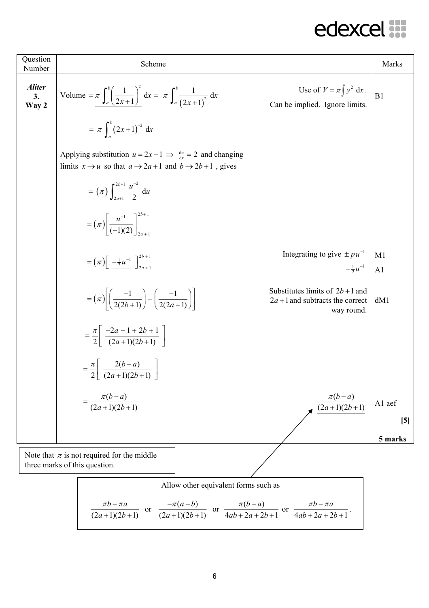| Question<br>Number           | Scheme                                                                                                                                       |                                                                                      | Marks                |
|------------------------------|----------------------------------------------------------------------------------------------------------------------------------------------|--------------------------------------------------------------------------------------|----------------------|
| <b>Aliter</b><br>3.<br>Way 2 | Volume = $\pi \int_{a}^{b} \left( \frac{1}{2x+1} \right)^2 dx = \pi \int_{a}^{b} \frac{1}{(2x+1)^2} dx$                                      | Use of $V = \pi \int y^2 dx$ .<br>Can be implied. Ignore limits.                     | B1                   |
|                              | $= \pi \int_{0}^{b} (2x+1)^{-2} dx$                                                                                                          |                                                                                      |                      |
|                              | Applying substitution $u = 2x + 1 \implies \frac{du}{dx} = 2$ and changing<br>limits $x \to u$ so that $a \to 2a+1$ and $b \to 2b+1$ , gives |                                                                                      |                      |
|                              | = $(\pi)$ $\int_{2x+1}^{2b+1} \frac{u^{-2}}{2} du$                                                                                           |                                                                                      |                      |
|                              | $= (\pi) \left[ \frac{u^{-1}}{(-1)(2)} \right]_{2}^{2b+1}$                                                                                   |                                                                                      |                      |
|                              | $= (\pi) \left[ \frac{-\frac{1}{2} u^{-1}}{\frac{1}{2} u^{-1}} \right]_{2a+1}^{2b+1}$                                                        | Integrating to give $\pm pu^{-1}$<br>$-\frac{1}{2}u^{-1}$                            | M1<br>A <sub>1</sub> |
|                              | $= (\pi) \left  \left( \frac{-1}{2(2b+1)} \right) - \left( \frac{-1}{2(2a+1)} \right) \right $                                               | Substitutes limits of $2b+1$ and<br>$2a + 1$ and subtracts the correct<br>way round. | dM1                  |
|                              | $=\frac{\pi}{2}\left \frac{-2a-1+2b+1}{(2a+1)(2b+1)}\right $                                                                                 |                                                                                      |                      |
|                              | $=\frac{\pi}{2} \left[ \frac{2(b-a)}{(2a+1)(2b+1)} \right]$                                                                                  |                                                                                      |                      |
|                              | $=\frac{\pi(b-a)}{(2a+1)(2b+1)}$                                                                                                             | $\pi(b-a)$<br>$\frac{(2a+1)(2b+1)}{(2a+1)(2b+1)}$                                    | A1 aef               |
|                              |                                                                                                                                              |                                                                                      | $\left[5\right]$     |
|                              |                                                                                                                                              |                                                                                      | 5 marks              |
|                              | Note that $\pi$ is not required for the middle<br>three marks of this question.                                                              |                                                                                      |                      |

Allow other equivalent forms such as  
\n
$$
\frac{\pi b - \pi a}{(2a+1)(2b+1)}
$$
 or 
$$
\frac{-\pi(a-b)}{(2a+1)(2b+1)}
$$
 or 
$$
\frac{\pi(b-a)}{4ab+2a+2b+1}
$$
 or 
$$
\frac{\pi b - \pi a}{4ab+2a+2b+1}
$$
.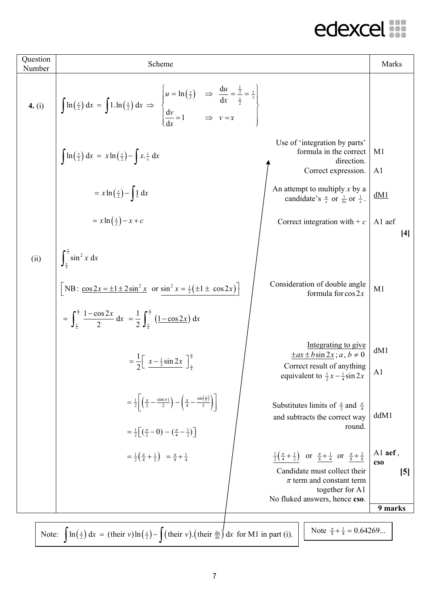| Question<br>Number | Scheme                                                                                                                                                                                                                                                                                                                                  | Marks                                            |
|--------------------|-----------------------------------------------------------------------------------------------------------------------------------------------------------------------------------------------------------------------------------------------------------------------------------------------------------------------------------------|--------------------------------------------------|
|                    | <b>4.</b> (i) $\int \ln(\frac{x}{2}) dx = \int 1 \cdot \ln(\frac{x}{2}) dx \Rightarrow \begin{cases} u = \ln(\frac{x}{2}) & \Rightarrow \frac{du}{dx} = \frac{\frac{1}{2}}{\frac{x}{2}} = \frac{1}{x} \\ \frac{dv}{dx} = 1 & \Rightarrow v = x \end{cases}$                                                                             |                                                  |
|                    | Use of 'integration by parts'<br>formula in the correct<br>$\int \ln\left(\frac{x}{2}\right) dx = x \ln\left(\frac{x}{2}\right) - \int x \cdot \frac{1}{x} dx$<br>direction.<br>Correct expression.                                                                                                                                     | M <sub>1</sub><br>A <sub>1</sub>                 |
|                    | An attempt to multiply x by a<br>$= x \ln \left(\frac{x}{2}\right) - \int \frac{1}{x} dx$<br>candidate's $\frac{a}{x}$ or $\frac{1}{bx}$ or $\frac{1}{x}$ .                                                                                                                                                                             | dM1                                              |
|                    | $= x \ln \left(\frac{x}{2}\right) - x + c$<br>Correct integration with $+ c$                                                                                                                                                                                                                                                            | A1 aef<br>$[4]$                                  |
| (ii)               | $\int_{\pi}^{\frac{\pi}{2}} \sin^2 x \, dx$<br>Consideration of double angle<br>[NB: $\cos 2x = \pm 1 \pm 2 \sin^2 x$ or $\sin^2 x = \frac{1}{2} (\pm 1 \pm \cos 2x)$ ]<br>formula for $\cos 2x$<br>$= \int_{a}^{\frac{\pi}{2}} \frac{1-\cos 2x}{2} dx = \frac{1}{2} \int_{a}^{\frac{\pi}{2}} (1-\cos 2x) dx$                           | M1                                               |
|                    | Integrating to give<br>$\pm ax \pm b \sin 2x$ ; $a, b \ne 0$<br>$=\frac{1}{2}\left[\frac{x-\frac{1}{2}\sin 2x}{x}\right]_{\frac{\pi}{4}}^{\frac{\pi}{2}}$<br>Correct result of anything<br>equivalent to $\frac{1}{2}x - \frac{1}{4}\sin 2x$                                                                                            | dM1<br>A <sub>1</sub>                            |
|                    | $=\frac{1}{2}\left(\frac{\pi}{2}-\frac{\sin(\pi)}{2}\right)-\left(\frac{\pi}{4}-\frac{\sin(\frac{\pi}{2})}{2}\right)\right $<br>Substitutes limits of $\frac{\pi}{2}$ and $\frac{\pi}{4}$<br>and subtracts the correct way<br>round.<br>$=\frac{1}{2} \left[\left(\frac{\pi}{2}-0\right)-\left(\frac{\pi}{4}-\frac{1}{2}\right)\right]$ | ddM1                                             |
|                    | $\frac{1}{2}(\frac{\pi}{4} + \frac{1}{2})$ or $\frac{\pi}{8} + \frac{1}{4}$ or $\frac{\pi}{8} + \frac{2}{8}$<br>$=\frac{1}{2}(\frac{\pi}{4}+\frac{1}{2}) = \frac{\pi}{8}+\frac{1}{4}$<br>Candidate must collect their<br>$\pi$ term and constant term<br>together for A1<br>No fluked answers, hence cso.                               | Al aef,<br>$\cos$<br>$\left[5\right]$<br>9 marks |
|                    | Note $\frac{\pi}{8} + \frac{1}{4} = 0.64269$<br>Note: $\int \ln(\frac{x}{2}) dx = (\text{their } v) \ln(\frac{x}{2}) - \int (\text{their } v) \cdot (\text{their } \frac{du}{dv}) dx$ for M1 in part (i).                                                                                                                               |                                                  |
|                    |                                                                                                                                                                                                                                                                                                                                         |                                                  |

 $\overline{\phantom{a}}$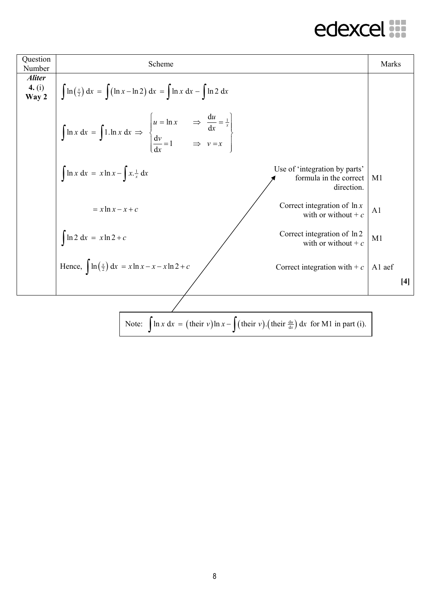| Question<br>Number                        | Scheme                                                                                                                                                                  | Marks          |       |
|-------------------------------------------|-------------------------------------------------------------------------------------------------------------------------------------------------------------------------|----------------|-------|
| <i><b>Aliter</b></i><br>4. $(i)$<br>Way 2 | $\int \ln\left(\frac{x}{2}\right) dx = \int (\ln x - \ln 2) dx = \int \ln x dx - \int \ln 2 dx$                                                                         |                |       |
|                                           | $\int \ln x \, dx = \int 1 \cdot \ln x \, dx \implies \begin{cases} u = \ln x & \implies \frac{du}{dx} = \frac{1}{x} \\ \frac{dv}{dx} = 1 & \implies v = x \end{cases}$ |                |       |
|                                           | Use of 'integration by parts'<br>$\int \ln x \, dx = x \ln x - \int x \cdot \frac{1}{x} \, dx$<br>formula in the correct<br>direction.                                  | M1             |       |
|                                           | Correct integration of $\ln x$<br>$= x \ln x - x + c$<br>with or without + $c$                                                                                          | A <sub>1</sub> |       |
|                                           | Correct integration of ln 2<br>$\int \ln 2 dx = x \ln 2 + c$<br>with or without + $c$                                                                                   | M1             |       |
|                                           | Hence, $\int \ln(\frac{x}{2}) dx = x \ln x - x - x \ln 2 + c$<br>Correct integration with $+ c$                                                                         | A1 aef         |       |
|                                           |                                                                                                                                                                         |                | $[4]$ |
|                                           |                                                                                                                                                                         |                |       |
|                                           | Note: $\int \ln x \, dx = (\text{their } v) \ln x - \int (\text{their } v) \cdot (\text{their } \frac{du}{dx}) dx$ for M1 in part (i).                                  |                |       |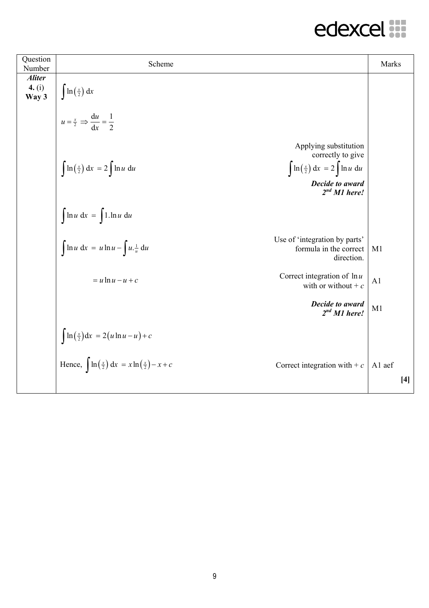| Question<br>Number                 | Scheme                                                                                                                                                                                                   | Marks          |       |
|------------------------------------|----------------------------------------------------------------------------------------------------------------------------------------------------------------------------------------------------------|----------------|-------|
| <b>Aliter</b><br>4. $(i)$<br>Way 3 | $\ln\left(\frac{x}{2}\right) dx$                                                                                                                                                                         |                |       |
|                                    | $u = \frac{x}{2} \implies \frac{du}{dx} = \frac{1}{2}$                                                                                                                                                   |                |       |
|                                    | Applying substitution<br>correctly to give<br>$\int \ln\left(\frac{x}{2}\right) dx = 2 \int \ln u du$<br>$\int \ln\left(\frac{x}{2}\right) dx = 2 \int \ln u du$<br>Decide to award<br>$2^{nd}$ M1 here! |                |       |
|                                    | $\int \ln u \, dx = \int 1.\ln u \, du$                                                                                                                                                                  |                |       |
|                                    | Use of 'integration by parts'<br>$\int \ln u \, dx = u \ln u - \int u \cdot \frac{1}{u} \, du$<br>formula in the correct<br>direction.                                                                   | M1             |       |
|                                    | Correct integration of $\ln u$<br>$= u \ln u - u + c$<br>with or without + $c$                                                                                                                           | A <sub>1</sub> |       |
|                                    | Decide to award<br>$2nd M1$ here!                                                                                                                                                                        | M1             |       |
|                                    | $\int \ln\left(\frac{x}{2}\right) dx = 2(u \ln u - u) + c$                                                                                                                                               |                |       |
|                                    | Hence, $\int \ln(\frac{x}{2}) dx = x \ln(\frac{x}{2}) - x + c$<br>Correct integration with $+ c$                                                                                                         | A1 aef         | $[4]$ |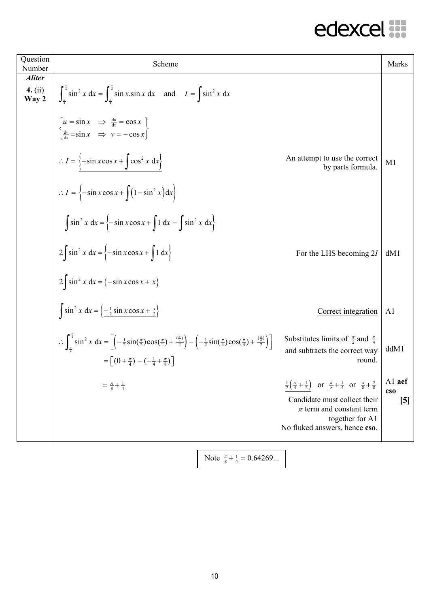| Question<br>Number                         | Scheme                                                                                                                                                                                                                                                                                                                                                                      |                                                                                                                                                                                                                                  | <b>Marks</b>            |
|--------------------------------------------|-----------------------------------------------------------------------------------------------------------------------------------------------------------------------------------------------------------------------------------------------------------------------------------------------------------------------------------------------------------------------------|----------------------------------------------------------------------------------------------------------------------------------------------------------------------------------------------------------------------------------|-------------------------|
| <i><b>Aliter</b></i><br>4. $(ii)$<br>Way 2 | $\int_{a}^{\frac{\pi}{2}} \sin^2 x \, dx = \int_{a}^{\frac{\pi}{2}} \sin x \cdot \sin x \, dx \text{ and } I = \int \sin^2 x \, dx$                                                                                                                                                                                                                                         |                                                                                                                                                                                                                                  |                         |
|                                            | $\begin{cases} u = \sin x & \Rightarrow \frac{du}{dx} = \cos x \\ \frac{dv}{dx} = \sin x & \Rightarrow v = -\cos x \end{cases}$                                                                                                                                                                                                                                             |                                                                                                                                                                                                                                  |                         |
|                                            | $\therefore I = \left\{-\sin x \cos x + \int \cos^2 x \, dx\right\}$                                                                                                                                                                                                                                                                                                        | An attempt to use the correct<br>by parts formula.                                                                                                                                                                               | M <sub>1</sub>          |
|                                            | $\therefore I = \left\{-\sin x \cos x + \int (1 - \sin^2 x) dx\right\}$                                                                                                                                                                                                                                                                                                     |                                                                                                                                                                                                                                  |                         |
|                                            | $\int \sin^2 x \, dx = \left\{-\sin x \cos x + \int 1 \, dx - \int \sin^2 x \, dx\right\}$                                                                                                                                                                                                                                                                                  |                                                                                                                                                                                                                                  |                         |
|                                            | $2\int \sin^2 x \, dx = \left\{-\sin x \cos x + \int 1 \, dx\right\}$                                                                                                                                                                                                                                                                                                       | For the LHS becoming 21                                                                                                                                                                                                          | dM1                     |
|                                            | $2\int \sin^2 x \, dx = \{-\sin x \cos x + x\}$                                                                                                                                                                                                                                                                                                                             |                                                                                                                                                                                                                                  |                         |
|                                            | $\int \sin^2 x \, dx = \left\{ -\frac{1}{2} \sin x \cos x + \frac{x}{2} \right\}$                                                                                                                                                                                                                                                                                           | Correct integration                                                                                                                                                                                                              | A <sub>1</sub>          |
|                                            | $\therefore \int_{\frac{\pi}{4}}^{\frac{\pi}{2}} \sin^2 x \, dx = \left[ \left( -\frac{1}{2} \sin(\frac{\pi}{2}) \cos(\frac{\pi}{2}) + \frac{(\frac{\pi}{2})}{2} \right) - \left( -\frac{1}{2} \sin(\frac{\pi}{4}) \cos(\frac{\pi}{4}) + \frac{(\frac{\pi}{4})}{2} \right) \right]$<br>$=\left[\left(0+\frac{\pi}{4}\right)-\left(-\frac{1}{4}+\frac{\pi}{8}\right)\right]$ | Substitutes limits of $\frac{\pi}{2}$ and $\frac{\pi}{4}$<br>and subtracts the correct way<br>round.                                                                                                                             | ddM1                    |
|                                            | $=\frac{\pi}{8}+\frac{1}{4}$                                                                                                                                                                                                                                                                                                                                                | $\frac{1}{2}(\frac{\pi}{4} + \frac{1}{2})$ or $\frac{\pi}{8} + \frac{1}{4}$ or $\frac{\pi}{8} + \frac{2}{8}$<br>Candidate must collect their<br>$\pi$ term and constant term<br>together for A1<br>No fluked answers, hence cso. | Al aef<br>$\cos$<br>[5] |

Note  $\frac{\pi}{8} + \frac{1}{4} = 0.64269...$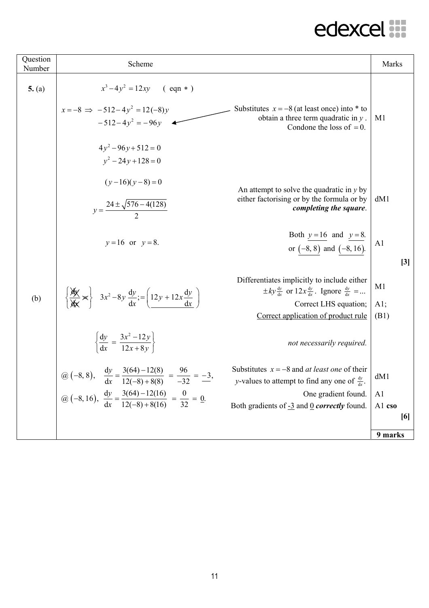| Question<br>Number | Scheme                                                                                                                                                                               |                                                                                                                                                                                         | Marks                         |
|--------------------|--------------------------------------------------------------------------------------------------------------------------------------------------------------------------------------|-----------------------------------------------------------------------------------------------------------------------------------------------------------------------------------------|-------------------------------|
| 5. (a)             | $x^3-4y^2 = 12xy$ (eqn *)<br>$x = -8 \implies -512 - 4y^2 = 12(-8)y$<br>$-512-4v^2 = -96v$                                                                                           | Substitutes $x = -8$ (at least once) into $*$ to<br>obtain a three term quadratic in $y$ .<br>Condone the loss of $= 0$ .                                                               | M1                            |
|                    | $4y^2-96y+512=0$<br>$v^2 - 24v + 128 = 0$                                                                                                                                            |                                                                                                                                                                                         |                               |
|                    | $(y-16)(y-8)=0$<br>$y = \frac{24 \pm \sqrt{576 - 4(128)}}{2}$                                                                                                                        | An attempt to solve the quadratic in $y$ by<br>either factorising or by the formula or by<br>completing the square.                                                                     | dM1                           |
|                    | $y = 16$ or $y = 8$ .                                                                                                                                                                | Both $y=16$ and $y=8$ .<br>or $(-8, 8)$ and $(-8, 16)$ .                                                                                                                                | A <sub>1</sub><br>$[3]$       |
| (b)                | $\left\{\frac{\cancel{x}}{\cancel{x}} \times \right\}$ $3x^2 - 8y \frac{dy}{dx} = \left(12y + 12x \frac{dy}{dx}\right)$                                                              | Differentiates implicitly to include either<br>$\pm ky \frac{dy}{dx}$ or $12x \frac{dy}{dx}$ . Ignore $\frac{dy}{dx}$ =<br>Correct LHS equation;<br>Correct application of product rule | M <sub>1</sub><br>A1;<br>(B1) |
|                    | $\left\{\frac{dy}{dx} = \frac{3x^2 - 12y}{12x + 8y}\right\}$                                                                                                                         | not necessarily required.                                                                                                                                                               |                               |
|                    | @ (-8, 8), $\frac{dy}{dx} = \frac{3(64) - 12(8)}{12(-8) + 8(8)} = \frac{96}{-32} = -3$ ,<br>@ (-8, 16), $\frac{dy}{dx} = \frac{3(64) - 12(16)}{12(-8) + 8(16)} = \frac{0}{32} = 0$ . | Substitutes $x = -8$ and <i>at least one</i> of their<br><i>y</i> -values to attempt to find any one of $\frac{dy}{dx}$ .                                                               | dM1                           |
|                    |                                                                                                                                                                                      | One gradient found.                                                                                                                                                                     | A <sub>1</sub>                |
|                    |                                                                                                                                                                                      | Both gradients of $-3$ and 0 <i>correctly</i> found.                                                                                                                                    | Al cso<br>[6]                 |
|                    |                                                                                                                                                                                      |                                                                                                                                                                                         | 9 marks                       |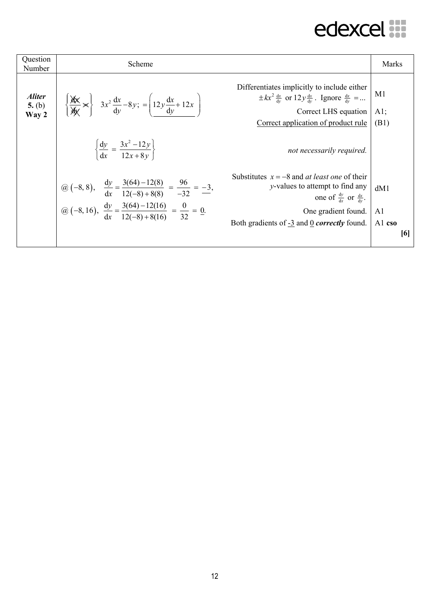| Question<br>Number                      | Scheme                                                                                                                                                                                                     |                                                                                                                                                                                                                              | Marks                |
|-----------------------------------------|------------------------------------------------------------------------------------------------------------------------------------------------------------------------------------------------------------|------------------------------------------------------------------------------------------------------------------------------------------------------------------------------------------------------------------------------|----------------------|
| <i><b>Aliter</b></i><br>5. (b)<br>Way 2 | $\left\{\frac{\partial x}{\partial x}\right\}$ $3x^2\frac{dx}{dy}-8y$ ; $=\left(12y\frac{dx}{dy}+12x\right)$                                                                                               | Differentiates implicitly to include either<br>$\pm kx^2 \frac{dx}{dy}$ or $12y \frac{dx}{dy}$ . Ignore $\frac{dx}{dy}$ =<br>Correct LHS equation<br>Correct application of product rule                                     | M1<br>$A1$ ;<br>(B1) |
|                                         | $\left\{\frac{dy}{dx} = \frac{3x^2 - 12y}{12x + 8y}\right\}$                                                                                                                                               | not necessarily required.                                                                                                                                                                                                    |                      |
|                                         | @ (-8, 8), $\frac{dy}{dx} = \frac{3(64) - 12(8)}{12(-8) + 8(8)} = \frac{96}{-32} = \frac{-3}{-3}$ ,<br>@ (-8, 16), $\frac{dy}{dx} = \frac{3(64) - 12(16)}{12(-8) + 8(16)} = \frac{0}{32} = \frac{0}{-3}$ . | Substitutes $x = -8$ and <i>at least one</i> of their<br><i>y</i> -values to attempt to find any<br>one of $\frac{dy}{dx}$ or $\frac{dx}{dy}$ .<br>One gradient found.<br>Both gradients of -3 and 0 <i>correctly</i> found. | dM1<br>A1<br>Al cso  |
|                                         |                                                                                                                                                                                                            |                                                                                                                                                                                                                              | [6]                  |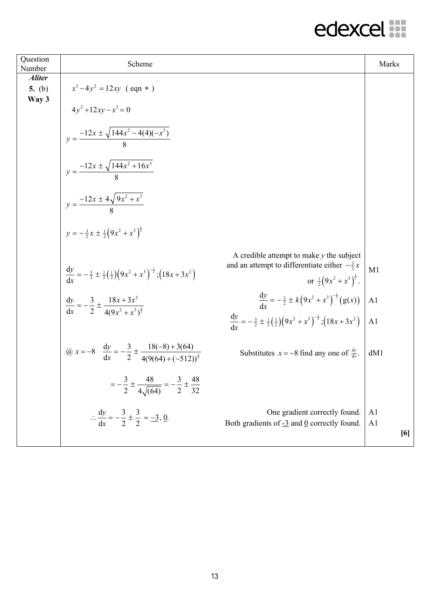| Question<br>Number                 | Scheme                                                                                               |                                                                                                                                                                                                                           | Marks                                   |
|------------------------------------|------------------------------------------------------------------------------------------------------|---------------------------------------------------------------------------------------------------------------------------------------------------------------------------------------------------------------------------|-----------------------------------------|
| <b>Aliter</b><br>5. $(b)$<br>Way 3 | $x^3-4y^2 = 12xy$ (eqn *)                                                                            |                                                                                                                                                                                                                           |                                         |
|                                    | $4y^2 + 12xy - x^3 = 0$                                                                              |                                                                                                                                                                                                                           |                                         |
|                                    | $y = \frac{-12x \pm \sqrt{144x^2 - 4(4)(-x^3)}}{8}$                                                  |                                                                                                                                                                                                                           |                                         |
|                                    | $y = \frac{-12x \pm \sqrt{144x^2 + 16x^3}}{8}$                                                       |                                                                                                                                                                                                                           |                                         |
|                                    | $y = \frac{-12x \pm 4\sqrt{9x^2 + x^3}}{8}$                                                          |                                                                                                                                                                                                                           |                                         |
|                                    | $y = -\frac{3}{2}x \pm \frac{1}{2}(9x^2 + x^3)^{\frac{1}{2}}$                                        |                                                                                                                                                                                                                           |                                         |
|                                    | $rac{dy}{dx} = -\frac{3}{2} \pm \frac{1}{2} (\frac{1}{2}) (9x^2 + x^3)^{-\frac{1}{2}}; (18x + 3x^2)$ | A credible attempt to make $y$ the subject<br>and an attempt to differentiate either $-\frac{3}{2}x$<br>or $\frac{1}{2}(9x^2 + x^3)^{\frac{1}{2}}$ .                                                                      | M1                                      |
|                                    | $\frac{dy}{dx} = -\frac{3}{2} \pm \frac{18x + 3x^2}{4(9x^2 + x^3)^{\frac{1}{2}}}$                    |                                                                                                                                                                                                                           | A <sub>1</sub>                          |
|                                    |                                                                                                      | $rac{dy}{dx} = -\frac{3}{2} \pm k \left(9x^2 + x^3\right)^{-\frac{1}{2}} (g(x))$<br>$rac{dy}{dx} = -\frac{3}{2} \pm \frac{1}{2} \left(\frac{1}{2}\right) \left(9x^2 + x^3\right)^{-\frac{1}{2}}; \left(18x + 3x^2\right)$ | A <sub>1</sub>                          |
|                                    | @ $x = -8$ $\frac{dy}{dx} = -\frac{3}{2} \pm \frac{18(-8) + 3(64)}{4(9(64) + (-512))^{\frac{1}{2}}}$ | Substitutes $x = -8$ find any one of $\frac{dy}{dx}$ .                                                                                                                                                                    | dM1                                     |
|                                    | $=-\frac{3}{2}\pm\frac{48}{4\sqrt{(64)}}=-\frac{3}{2}\pm\frac{48}{32}$                               |                                                                                                                                                                                                                           |                                         |
|                                    | $\therefore \frac{dy}{dx} = -\frac{3}{2} \pm \frac{3}{2} = -\frac{3}{2}, \underline{0}.$             | One gradient correctly found.<br>Both gradients of $-3$ and 0 correctly found.                                                                                                                                            | A <sub>1</sub><br>A <sub>1</sub><br>[6] |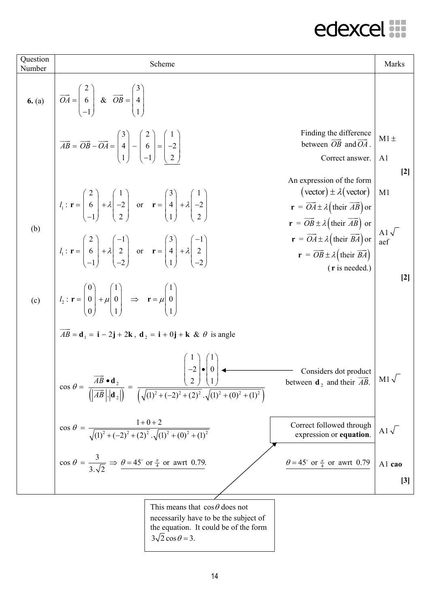| Question<br>Number | Scheme                                                                                                                                                                                                                                                   |                                                                                                                                                                                                                                                                                                         | <b>Marks</b>                         |
|--------------------|----------------------------------------------------------------------------------------------------------------------------------------------------------------------------------------------------------------------------------------------------------|---------------------------------------------------------------------------------------------------------------------------------------------------------------------------------------------------------------------------------------------------------------------------------------------------------|--------------------------------------|
| 6. (a)             | $\overrightarrow{OA} = \begin{pmatrix} 2 \\ 6 \\ 1 \end{pmatrix}$ & $\overrightarrow{OB} = \begin{pmatrix} 3 \\ 4 \\ 1 \end{pmatrix}$                                                                                                                    |                                                                                                                                                                                                                                                                                                         |                                      |
|                    | $\overrightarrow{AB} = \overrightarrow{OB} - \overrightarrow{OA} = \begin{pmatrix} 3 \\ 4 \\ 1 \end{pmatrix} - \begin{pmatrix} 2 \\ 6 \\ -1 \end{pmatrix} = \begin{pmatrix} 1 \\ -2 \\ 2 \end{pmatrix}$                                                  | Finding the difference<br>between $\overrightarrow{OB}$ and $\overrightarrow{OA}$ .<br>Correct answer.                                                                                                                                                                                                  | $M1 \pm$<br>A <sub>1</sub>           |
|                    | $l_1: \mathbf{r} = \begin{bmatrix} 2 \\ 6 \\ -1 \end{bmatrix} + \lambda \begin{bmatrix} 1 \\ -2 \\ 2 \end{bmatrix}$ or $\mathbf{r} = \begin{bmatrix} 3 \\ 4 \\ 1 \end{bmatrix} + \lambda \begin{bmatrix} 1 \\ -2 \\ 2 \end{bmatrix}$                     | An expression of the form<br>$(\text{vector}) \pm \lambda(\text{vector})$<br>$\mathbf{r} = \overrightarrow{OA} \pm \lambda \left( \text{their } \overrightarrow{AB} \right) \text{ or }$<br>$\mathbf{r} = \overrightarrow{OB} \pm \lambda \left( \text{their } \overrightarrow{AB} \right) \text{ or }$ | $[2]$<br>M1                          |
| (b)                | $l_1: \mathbf{r} = \begin{pmatrix} 2 \\ 6 \\ 1 \end{pmatrix} + \lambda \begin{pmatrix} -1 \\ 2 \\ 2 \end{pmatrix}$ or $\mathbf{r} = \begin{pmatrix} 3 \\ 4 \\ 1 \end{pmatrix} + \lambda \begin{pmatrix} -1 \\ 2 \\ 2 \end{pmatrix}$                      | $\mathbf{r} = \overrightarrow{OA} \pm \lambda \left( \text{their } \overrightarrow{BA} \right) \text{ or }$<br>$\mathbf{r} = \overrightarrow{OB} \pm \lambda \left( \text{their } \overrightarrow{BA} \right)$<br>$(r$ is needed.)                                                                      | Al $\sqrt{\phantom{a}}$ aef<br>$[2]$ |
| (c)                | $\left  l_2 : \mathbf{r} = \begin{pmatrix} 0 \\ 0 \\ 0 \end{pmatrix} + \mu \begin{pmatrix} 1 \\ 0 \\ 1 \end{pmatrix} \right  \Rightarrow \mathbf{r} = \mu \begin{pmatrix} 1 \\ 0 \\ 1 \end{pmatrix}$                                                     |                                                                                                                                                                                                                                                                                                         |                                      |
|                    | $AB = \mathbf{d}_1 = \mathbf{i} - 2\mathbf{j} + 2\mathbf{k}$ , $\mathbf{d}_2 = \mathbf{i} + 0\mathbf{j} + \mathbf{k}$ & $\theta$ is angle                                                                                                                |                                                                                                                                                                                                                                                                                                         |                                      |
|                    | $-2\cdot 0$<br>$\cos \theta = \frac{\overrightarrow{AB} \cdot \mathbf{d}_2}{\left(  \overrightarrow{AB}   \mathbf{d}_2  \right)} = \frac{\left( 2 \right) \left( 1 \right)}{\left( \sqrt{(1)^2 + (-2)^2 + (2)^2}, \sqrt{(1)^2 + (0)^2 + (1)^2} \right)}$ | Considers dot product<br>between $\mathbf{d}_2$ and their $\overrightarrow{AB}$ .                                                                                                                                                                                                                       | $M1\sqrt{ }$                         |
|                    | $\cos \theta = \frac{1+0+2}{\sqrt{(1)^2+(-2)^2+(2)^2} \cdot \sqrt{(1)^2+(0)^2+(1)^2}}$                                                                                                                                                                   | Correct followed through<br>expression or equation.                                                                                                                                                                                                                                                     | Al $\sqrt{ }$                        |
|                    | $\cos \theta = \frac{3}{3\sqrt{2}} \Rightarrow \theta = 45^{\circ}$ or $\frac{\pi}{4}$ or awrt 0.79.                                                                                                                                                     | $\theta = 45^{\circ}$ or $\frac{\pi}{4}$ or awrt 0.79                                                                                                                                                                                                                                                   | Al cao                               |
|                    |                                                                                                                                                                                                                                                          |                                                                                                                                                                                                                                                                                                         | $[3]$                                |
|                    | This means that $\cos \theta$ does not<br>necessarily have to be the subject of<br>the equation It could be of the form                                                                                                                                  |                                                                                                                                                                                                                                                                                                         |                                      |

the equation. It could be of the form  $3\sqrt{2}\cos\theta = 3$ .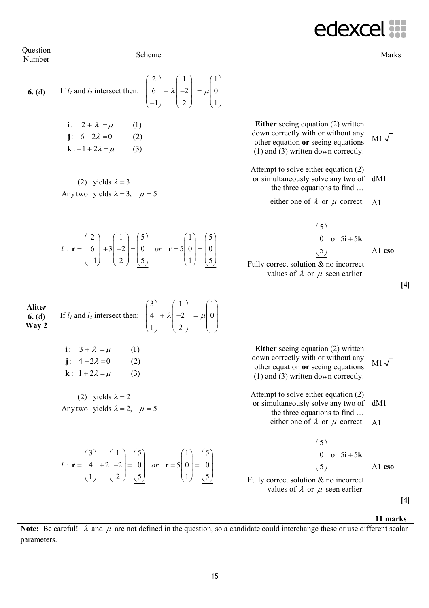| Question<br>Number                 | Scheme                                                                                                                                                                                                                                                              |                                                                                                                                                                                                                | Marks                             |
|------------------------------------|---------------------------------------------------------------------------------------------------------------------------------------------------------------------------------------------------------------------------------------------------------------------|----------------------------------------------------------------------------------------------------------------------------------------------------------------------------------------------------------------|-----------------------------------|
| 6. (d)                             | If $l_1$ and $l_2$ intersect then: $\begin{pmatrix} 2 \\ 6 \\ -1 \end{pmatrix} + \lambda \begin{pmatrix} 1 \\ -2 \\ 2 \end{pmatrix} = \mu \begin{pmatrix} 1 \\ 0 \\ 1 \end{pmatrix}$                                                                                |                                                                                                                                                                                                                |                                   |
|                                    | i: $2 + \lambda = \mu$<br>(1)<br>j: $6 - 2\lambda = 0$<br>(2)<br>$\mathbf{k}$ : $-1 + 2\lambda = \mu$<br>(3)                                                                                                                                                        | <b>Either</b> seeing equation (2) written<br>down correctly with or without any<br>other equation or seeing equations<br>$(1)$ and $(3)$ written down correctly.                                               | $M1\sqrt{ }$                      |
|                                    | (2) yields $\lambda = 3$<br>Any two yields $\lambda = 3$ , $\mu = 5$                                                                                                                                                                                                | Attempt to solve either equation (2)<br>or simultaneously solve any two of<br>the three equations to find                                                                                                      | dM1                               |
|                                    | $l_1: \mathbf{r} = \begin{pmatrix} 2 \\ 6 \\ -1 \end{pmatrix} + 3 \begin{pmatrix} 1 \\ -2 \\ 2 \end{pmatrix} = \begin{pmatrix} 5 \\ 0 \\ 5 \end{pmatrix}$ or $\mathbf{r} = 5 \begin{pmatrix} 1 \\ 0 \\ 1 \end{pmatrix} = \begin{pmatrix} 5 \\ 0 \\ 5 \end{pmatrix}$ | either one of $\lambda$ or $\mu$ correct.<br>$\begin{bmatrix} 3 \\ 0 \\ 5 \end{bmatrix}$ or $5\mathbf{i} + 5\mathbf{k}$<br>Fully correct solution & no incorrect<br>values of $\lambda$ or $\mu$ seen earlier. | A <sub>1</sub><br>A1 cso<br>$[4]$ |
| <b>Aliter</b><br>6. $(d)$<br>Way 2 | If $l_1$ and $l_2$ intersect then: $\begin{pmatrix} 3 \\ 4 \\ 1 \end{pmatrix} + \lambda \begin{pmatrix} 1 \\ -2 \\ 2 \end{pmatrix} = \mu \begin{pmatrix} 1 \\ 0 \\ 1 \end{pmatrix}$                                                                                 |                                                                                                                                                                                                                |                                   |
|                                    | <b>i</b> : $3 + \lambda = \mu$<br><b>j</b> : $4 - 2\lambda = 0$<br>(1)<br>(2)<br><b>k</b> : $1+2\lambda = \mu$<br>(3)                                                                                                                                               | <b>Either</b> seeing equation (2) written<br>down correctly with or without any<br>other equation or seeing equations<br>$(1)$ and $(3)$ written down correctly.                                               | $M1\sqrt{ }$                      |
|                                    | (2) yields $\lambda = 2$<br>Any two yields $\lambda = 2$ , $\mu = 5$                                                                                                                                                                                                | Attempt to solve either equation (2)<br>or simultaneously solve any two of<br>the three equations to find<br>either one of $\lambda$ or $\mu$ correct.                                                         | dM1<br>A <sub>1</sub>             |
|                                    | $l_1: \mathbf{r} = \begin{pmatrix} 3 \\ 4 \\ 1 \end{pmatrix} + 2 \begin{pmatrix} 1 \\ -2 \\ 2 \end{pmatrix} = \begin{pmatrix} 5 \\ 0 \\ 5 \end{pmatrix}$ or $\mathbf{r} = 5 \begin{pmatrix} 1 \\ 0 \\ 1 \end{pmatrix} = \begin{pmatrix} 5 \\ 0 \\ 5 \end{pmatrix}$  | $\begin{bmatrix} 0 \\ 0 \\ 5 \end{bmatrix}$ or $5\mathbf{i} + 5\mathbf{k}$<br>Fully correct solution $&$ no incorrect<br>values of $\lambda$ or $\mu$ seen earlier.                                            | Al cso                            |
|                                    |                                                                                                                                                                                                                                                                     |                                                                                                                                                                                                                | $[4]$<br>11 marks                 |

**Note:** Be careful!  $\lambda$  and  $\mu$  are not defined in the question, so a candidate could interchange these or use different scalar parameters.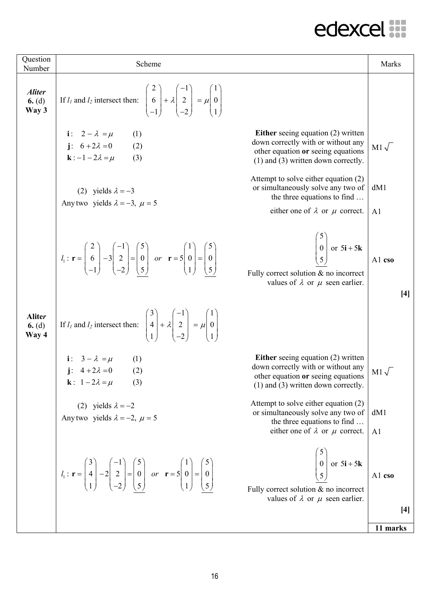| Question<br>Number                 | Scheme                                                                                                                                                                                                                                                               |                                                                                                                                                                  | Marks                 |
|------------------------------------|----------------------------------------------------------------------------------------------------------------------------------------------------------------------------------------------------------------------------------------------------------------------|------------------------------------------------------------------------------------------------------------------------------------------------------------------|-----------------------|
| <b>Aliter</b><br>6. $(d)$<br>Way 3 | If $l_1$ and $l_2$ intersect then: $\begin{bmatrix} 2 \\ 6 \\ -1 \end{bmatrix} + \lambda \begin{bmatrix} -1 \\ 2 \\ -2 \end{bmatrix} = \mu \begin{bmatrix} 1 \\ 0 \\ 1 \end{bmatrix}$                                                                                |                                                                                                                                                                  |                       |
|                                    | i: $2 - \lambda = \mu$ (1)<br>j: $6 + 2\lambda = 0$ (2)<br>$\mathbf{k}$ : $-1-2\lambda = \mu$<br>(3)                                                                                                                                                                 | <b>Either</b> seeing equation (2) written<br>down correctly with or without any<br>other equation or seeing equations<br>$(1)$ and $(3)$ written down correctly. | $M1\sqrt{ }$          |
|                                    | (2) yields $\lambda = -3$<br>Any two yields $\lambda = -3$ , $\mu = 5$                                                                                                                                                                                               | Attempt to solve either equation (2)<br>or simultaneously solve any two of<br>the three equations to find<br>either one of $\lambda$ or $\mu$ correct.           | dM1<br>A <sub>1</sub> |
|                                    | $l_1: \mathbf{r} = \begin{pmatrix} 2 \\ 6 \\ -1 \end{pmatrix} - 3 \begin{pmatrix} -1 \\ 2 \\ -2 \end{pmatrix} = \begin{pmatrix} 5 \\ 0 \\ 5 \end{pmatrix}$ or $\mathbf{r} = 5 \begin{pmatrix} 1 \\ 0 \\ 1 \end{pmatrix} = \begin{pmatrix} 5 \\ 0 \\ 5 \end{pmatrix}$ | $\begin{bmatrix} 5 \\ 0 \\ 5 \end{bmatrix}$ or 5 <b>i</b> + 5 <b>k</b><br>Fully correct solution $\&$ no incorrect<br>values of $\lambda$ or $\mu$ seen earlier. | A1 cso<br>[4]         |
| <b>Aliter</b><br>6. $(d)$<br>Way 4 | If $l_1$ and $l_2$ intersect then: $\begin{pmatrix} 3 \\ 4 \\ 1 \end{pmatrix} + \lambda \begin{pmatrix} -1 \\ 2 \\ 2 \end{pmatrix} = \mu \begin{pmatrix} 1 \\ 0 \\ 1 \end{pmatrix}$                                                                                  |                                                                                                                                                                  |                       |
|                                    | i: $3 - \lambda = \mu$ (1)<br>j: $4 + 2\lambda = 0$ (2)<br><b>k</b> : $1-2\lambda = \mu$<br>(3)                                                                                                                                                                      | Either seeing equation $(2)$ written<br>down correctly with or without any<br>other equation or seeing equations<br>$(1)$ and $(3)$ written down correctly.      | $M1\sqrt{ }$          |
|                                    | (2) yields $\lambda = -2$<br>Any two yields $\lambda = -2$ , $\mu = 5$                                                                                                                                                                                               | Attempt to solve either equation (2)<br>or simultaneously solve any two of<br>the three equations to find<br>either one of $\lambda$ or $\mu$ correct.           | dM1<br>A <sub>1</sub> |
|                                    | $l_1: \mathbf{r} = \begin{pmatrix} 3 \\ 4 \\ 1 \end{pmatrix} - 2 \begin{pmatrix} -1 \\ 2 \\ -2 \end{pmatrix} = \begin{pmatrix} 5 \\ 0 \\ 5 \end{pmatrix}$ or $\mathbf{r} = 5 \begin{pmatrix} 1 \\ 0 \\ 1 \end{pmatrix} = \begin{pmatrix} 5 \\ 0 \\ 5 \end{pmatrix}$  | $\begin{bmatrix} 0 \\ 0 \\ 5 \end{bmatrix}$ or 5 <b>i</b> + 5 <b>k</b><br>Fully correct solution $\&$ no incorrect<br>values of $\lambda$ or $\mu$ seen earlier. | A1 cso<br>$[4]$       |
|                                    |                                                                                                                                                                                                                                                                      |                                                                                                                                                                  | 11 marks              |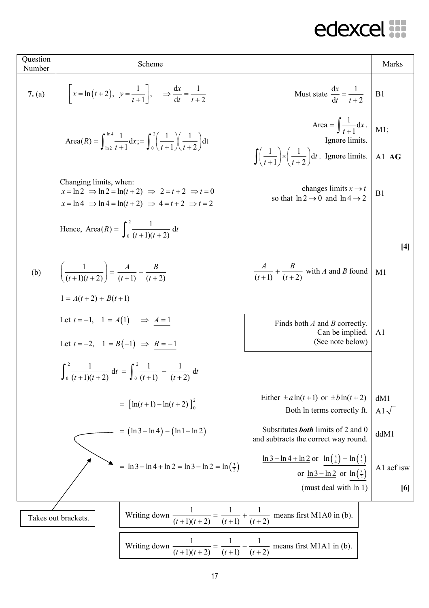| Question<br>Number | Scheme                                                                                                                                                                                                                                                                  | Marks             |
|--------------------|-------------------------------------------------------------------------------------------------------------------------------------------------------------------------------------------------------------------------------------------------------------------------|-------------------|
| 7. (a)             | $x = \ln(t+2), y = \frac{1}{t+1}$ , $\Rightarrow \frac{dx}{dt} = \frac{1}{t+2}$<br>Must state $\frac{dx}{dt} = \frac{1}{t+2}$                                                                                                                                           | B1                |
|                    | Area = $\int \frac{1}{t+1} dx$ .<br>Area $(R) = \int_{\ln 2}^{\ln 4} \frac{1}{t+1} dx$ ; $= \int_{0}^{2} \left( \frac{1}{t+1} \right) \left( \frac{1}{t+2} \right) dt$<br>Ignore limits.                                                                                | $M1$ ;            |
|                    | $\int \left(\frac{1}{t+1}\right) \times \left(\frac{1}{t+2}\right) dt$ . Ignore limits.                                                                                                                                                                                 | Al $AG$           |
|                    | Changing limits, when:<br>changes limits $x \rightarrow t$<br>$x = \ln 2 \implies \ln 2 = \ln(t+2) \implies 2 = t+2 \implies t = 0$<br>so that $\ln 2 \rightarrow 0$ and $\ln 4 \rightarrow 2$<br>$x = \ln 4 \implies \ln 4 = \ln(t+2) \implies 4 = t+2 \implies t = 2$ | B1                |
|                    | Hence, Area(R) = $\int_{0}^{2} \frac{1}{(t+1)(t+2)} dt$                                                                                                                                                                                                                 |                   |
|                    |                                                                                                                                                                                                                                                                         | [4]               |
| (b)                | $\left(\frac{1}{(t+1)(t+2)}\right) = \frac{A}{(t+1)} + \frac{B}{(t+2)}$<br>1 = A(t + 2) + B(t + 1)<br>$\frac{A}{(t+1)} + \frac{B}{(t+2)}$ with A and B found                                                                                                            | M1                |
|                    |                                                                                                                                                                                                                                                                         |                   |
|                    | Let $t = -1$ , $1 = A(1)$ $\Rightarrow$ $A = 1$<br>Finds both $A$ and $B$ correctly.<br>Can be implied.<br>(See note below)<br>Let $t = -2$ , $1 = B(-1) \Rightarrow B = -1$                                                                                            | A <sub>1</sub>    |
|                    |                                                                                                                                                                                                                                                                         |                   |
|                    | $\int_0^2 \frac{1}{(t+1)(t+2)} dt = \int_0^2 \frac{1}{(t+1)} - \frac{1}{(t+2)} dt$                                                                                                                                                                                      |                   |
|                    | Either $\pm a \ln(t+1)$ or $\pm b \ln(t+2)$<br>$= \left[\ln(t+1) - \ln(t+2)\right]_0^2$<br>Both In terms correctly ft.                                                                                                                                                  | dM1<br>A1 $\sqrt$ |
|                    | Substitutes <b>both</b> limits of 2 and 0<br>$= (\ln 3 - \ln 4) - (\ln 1 - \ln 2)$<br>and subtracts the correct way round.                                                                                                                                              | ddM1              |
|                    | $\ln 3 - \ln 4 + \ln 2$ or $\ln(\frac{3}{4}) - \ln(\frac{1}{2})$<br>$= \ln 3 - \ln 4 + \ln 2 = \ln 3 - \ln 2 = \ln \left(\frac{3}{2}\right)$<br>or $\ln 3 - \ln 2$ or $\ln(\frac{3}{2})$                                                                                | A1 aef isw        |
|                    | (must deal with ln 1)                                                                                                                                                                                                                                                   | [6]               |
|                    | Writing down $\frac{1}{(t+1)(t+2)} = \frac{1}{(t+1)} + \frac{1}{(t+2)}$ means first M1A0 in (b).<br>Takes out brackets.                                                                                                                                                 |                   |
|                    | $\frac{1}{(t+1)(t+2)} = \frac{1}{(t+1)} - \frac{1}{(t+2)}$ means first M1A1 in (b).<br>Writing down $\frac{1}{x}$                                                                                                                                                       |                   |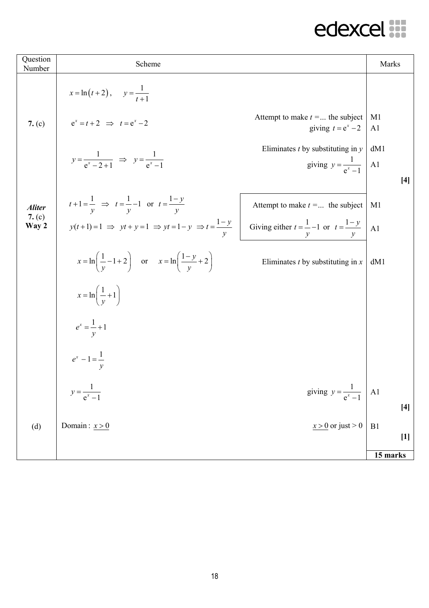| Question<br>Number | Scheme                                                                                                                               |                                                                            | Marks                            |       |
|--------------------|--------------------------------------------------------------------------------------------------------------------------------------|----------------------------------------------------------------------------|----------------------------------|-------|
|                    | $x = \ln(t+2)$ , $y = \frac{1}{t+1}$                                                                                                 |                                                                            |                                  |       |
| 7. (c)             | $e^x = t + 2 \implies t = e^x - 2$                                                                                                   | Attempt to make $t = $ the subject<br>giving $t = e^x - 2$                 | M <sub>1</sub><br>A <sub>1</sub> |       |
|                    | $y = \frac{1}{e^x - 2 + 1} \Rightarrow y = \frac{1}{e^x - 1}$                                                                        | Eliminates $t$ by substituting in $y$<br>giving $y = \frac{1}{e^x - 1}$ Al | dM1                              | $[4]$ |
| <b>Aliter</b>      | $t+1=\frac{1}{y}$ $\Rightarrow$ $t=\frac{1}{y}-1$ or $t=\frac{1-y}{y}$                                                               | Attempt to make $t = $ the subject                                         | M <sub>1</sub>                   |       |
| 7. $(c)$<br>Way 2  | $y(t+1)=1 \Rightarrow yt+y=1 \Rightarrow yt=1-y \Rightarrow t=\frac{1-y}{y}$ Giving either $t=\frac{1}{y}-1$ or $t=\frac{1-y}{y}$ Al |                                                                            |                                  |       |
|                    | $x = \ln\left(\frac{1}{v} - 1 + 2\right)$ or $x = \ln\left(\frac{1 - y}{v} + 2\right)$                                               | Eliminates $t$ by substituting in $x$                                      | dM1                              |       |
|                    | $x = \ln\left(\frac{1}{v} + 1\right)$                                                                                                |                                                                            |                                  |       |
|                    | $e^x = \frac{1}{y} + 1$                                                                                                              |                                                                            |                                  |       |
|                    | $e^x - 1 = \frac{1}{y}$                                                                                                              |                                                                            |                                  |       |
|                    | $y = \frac{1}{e^x - 1}$                                                                                                              | giving $y = \frac{1}{e^x - 1}$ A1                                          |                                  | $[4]$ |
| (d)                | Domain: $x>0$                                                                                                                        | $x > 0$ or just > 0                                                        | B1                               |       |
|                    |                                                                                                                                      |                                                                            | $\overline{15}$ marks            | $[1]$ |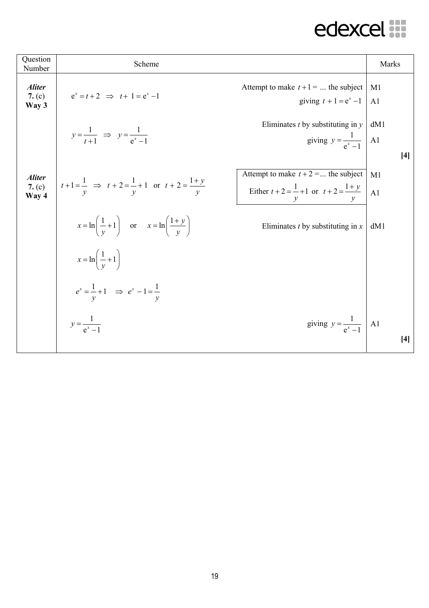| Question<br>Number                 | Scheme                                                                       |                                                                                                       | Marks                            |
|------------------------------------|------------------------------------------------------------------------------|-------------------------------------------------------------------------------------------------------|----------------------------------|
| <b>Aliter</b><br>7. $(c)$<br>Way 3 | $e^x = t + 2 \implies t + 1 = e^x - 1$                                       | Attempt to make $t+1 = $ the subject<br>giving $t + 1 = e^x - 1$                                      | M1<br>A <sub>1</sub>             |
|                                    | $y=\frac{1}{t+1}$ $\Rightarrow$ $y=\frac{1}{e^x-1}$                          | Eliminates $t$ by substituting in $y$<br>giving $y = \frac{1}{e^x - 1}$ A1                            | dM1<br>$[4]$                     |
| <b>Aliter</b><br>7. $(c)$<br>Way 4 | $t+1=\frac{1}{y}$ $\implies$ $t+2=\frac{1}{y}+1$ or $t+2=\frac{1+y}{y}$      | Attempt to make $t + 2 = $ the subject<br>Either $t + 2 = \frac{1}{t} + 1$ or $t + 2 = \frac{1+y}{t}$ | M <sub>1</sub><br>A <sub>1</sub> |
|                                    | $x = \ln\left(\frac{1}{v} + 1\right)$ or $x = \ln\left(\frac{1+y}{v}\right)$ | Eliminates $t$ by substituting in $x$                                                                 | dM1                              |
|                                    | $x = \ln\left(\frac{1}{v} + 1\right)$                                        |                                                                                                       |                                  |
|                                    | $e^{x} = \frac{1}{v} + 1 \implies e^{x} - 1 = \frac{1}{v}$                   |                                                                                                       |                                  |
|                                    | $y = \frac{1}{e^x - 1}$                                                      | giving $y = \frac{1}{e^x - 1}$ Al                                                                     | $[4]$                            |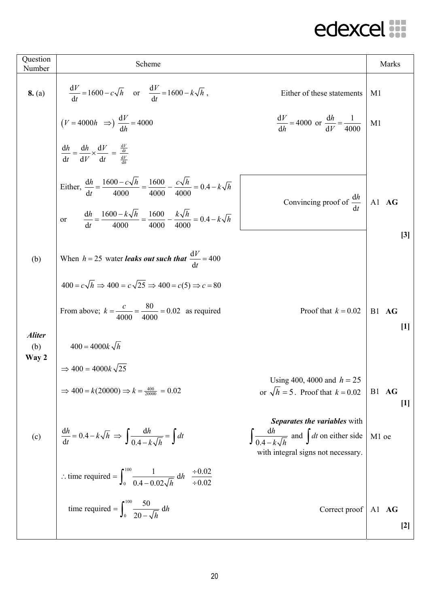| Question<br>Number            | Scheme                                                                                                                 |                                                                                                                                      | Marks          |
|-------------------------------|------------------------------------------------------------------------------------------------------------------------|--------------------------------------------------------------------------------------------------------------------------------------|----------------|
| 8. (a)                        | $\frac{dV}{dt} = 1600 - c\sqrt{h}$ or $\frac{dV}{dt} = 1600 - k\sqrt{h}$ ,                                             | Either of these statements                                                                                                           | M1             |
|                               | $(V = 4000h \Rightarrow) \frac{dV}{dh} = 4000$                                                                         | $rac{dV}{dh}$ = 4000 or $rac{dh}{dV}$ = $rac{1}{4000}$                                                                               | M1             |
|                               | $\frac{dh}{dt} = \frac{dh}{dV} \times \frac{dV}{dt} = \frac{\frac{dV}{dt}}{\frac{dV}{dt}}$                             |                                                                                                                                      |                |
|                               | Either, $\frac{dh}{dt} = \frac{1600 - c\sqrt{h}}{4000} = \frac{1600}{4000} - \frac{c\sqrt{h}}{4000} = 0.4 - k\sqrt{h}$ | Convincing proof of $\frac{dh}{dt}$   A1 <b>AG</b>                                                                                   |                |
|                               | or $\frac{dh}{dt} = \frac{1600 - k\sqrt{h}}{4000} = \frac{1600}{4000} - \frac{k\sqrt{h}}{4000} = 0.4 - k\sqrt{h}$      |                                                                                                                                      | [3]            |
| (b)                           | When $h = 25$ water <i>leaks out such that</i> $\frac{dV}{dt} = 400$                                                   |                                                                                                                                      |                |
|                               | $400 = c\sqrt{h} \Rightarrow 400 = c\sqrt{25} \Rightarrow 400 = c(5) \Rightarrow c = 80$                               |                                                                                                                                      |                |
|                               | From above; $k = \frac{c}{4000} = \frac{80}{4000} = 0.02$ as required                                                  | Proof that $k = 0.02$   B1 AG                                                                                                        | $[1]$          |
| <b>Aliter</b><br>(b)<br>Way 2 | $400 = 4000k \sqrt{h}$                                                                                                 |                                                                                                                                      |                |
|                               | $\Rightarrow$ 400 = 4000 $k\sqrt{25}$<br>$\Rightarrow$ 400 = k(20000) $\Rightarrow$ k = $\frac{400}{20000}$ = 0.02     | Using 400, 4000 and $h = 25$<br>or $\sqrt{h} = 5$ . Proof that $k = 0.02$                                                            | B1 AG<br>$[1]$ |
| (c)                           | $\frac{\mathrm{d}h}{\mathrm{d}t} = 0.4 - k\sqrt{h} \implies \int \frac{\mathrm{d}h}{0.4 - k\sqrt{h}} = \int dt$        | Separates the variables with<br>$\int \frac{dh}{0.4 - k\sqrt{h}}$ and $\int dt$ on either side<br>with integral signs not necessary. | M1 oe          |
|                               | : time required = $\int_0^{100} \frac{1}{0.4 - 0.02\sqrt{h}} dh = \frac{\div 0.02}{\div 0.02}$                         |                                                                                                                                      |                |
|                               | time required = $\int_0^{100} \frac{50}{20-x/h} dh$                                                                    | Correct proof                                                                                                                        | Al AG<br>$[2]$ |
|                               |                                                                                                                        |                                                                                                                                      |                |